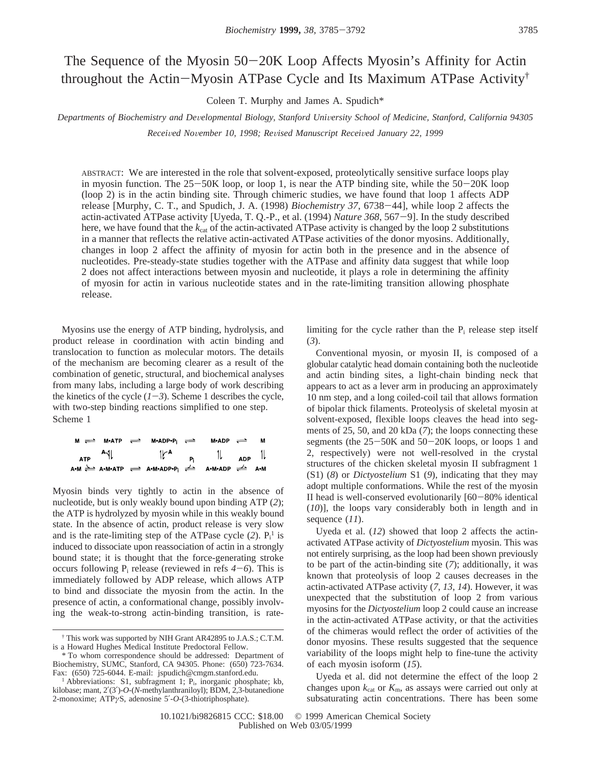# The Sequence of the Myosin 50-20K Loop Affects Myosin's Affinity for Actin throughout the Actin-Myosin ATPase Cycle and Its Maximum ATPase Activity†

Coleen T. Murphy and James A. Spudich\*

# Departments of Biochemistry and Developmental Biology, Stanford University School of Medicine, Stanford, California 94305

*Recei*V*ed No*V*ember 10, 1998; Re*V*ised Manuscript Recei*V*ed January 22, 1999*

ABSTRACT: We are interested in the role that solvent-exposed, proteolytically sensitive surface loops play in myosin function. The  $25-50K$  loop, or loop 1, is near the ATP binding site, while the  $50-20K$  loop (loop 2) is in the actin binding site. Through chimeric studies, we have found that loop 1 affects ADP release [Murphy, C. T., and Spudich, J. A. (1998) *Biochemistry 37*, 6738-44], while loop 2 affects the actin-activated ATPase activity [Uyeda, T. Q.-P., et al. (1994) *Nature 368*, 567-9]. In the study described here, we have found that the  $k_{\text{cat}}$  of the actin-activated ATPase activity is changed by the loop 2 substitutions in a manner that reflects the relative actin-activated ATPase activities of the donor myosins. Additionally, changes in loop 2 affect the affinity of myosin for actin both in the presence and in the absence of nucleotides. Pre-steady-state studies together with the ATPase and affinity data suggest that while loop 2 does not affect interactions between myosin and nucleotide, it plays a role in determining the affinity of myosin for actin in various nucleotide states and in the rate-limiting transition allowing phosphate release.

Myosins use the energy of ATP binding, hydrolysis, and product release in coordination with actin binding and translocation to function as molecular motors. The details of the mechanism are becoming clearer as a result of the combination of genetic, structural, and biochemical analyses from many labs, including a large body of work describing the kinetics of the cycle  $(1-3)$ . Scheme 1 describes the cycle, with two-step binding reactions simplified to one step. Scheme 1

|                        |  | $M \rightleftharpoons M \cdot A \cdot TP \rightleftharpoons M \cdot A \cdot DP \cdot P_i \rightleftharpoons M \cdot A \cdot DP \cdot P_i$    | M•ADP $\rightleftharpoons$ M |                                                      |  |
|------------------------|--|----------------------------------------------------------------------------------------------------------------------------------------------|------------------------------|------------------------------------------------------|--|
| $_{\text{ATP}}$ $^{A}$ |  | $\int_{\Gamma} A$ $P_i$ $P_i$                                                                                                                |                              | $\frac{1}{\sqrt{1-\frac{1}{2}}}\sqrt{1-\frac{1}{2}}$ |  |
|                        |  | A•M $\xleftarrow{\triangle}$ A•M•ATP $\xleftarrow{\Rightarrow}$ A•M•ADP•P; $\xleftarrow{\Rightarrow}$ A•M•ADP $\xleftarrow{\Rightarrow}$ A•M |                              |                                                      |  |

Myosin binds very tightly to actin in the absence of nucleotide, but is only weakly bound upon binding ATP (*2*); the ATP is hydrolyzed by myosin while in this weakly bound state. In the absence of actin, product release is very slow and is the rate-limiting step of the ATPase cycle  $(2)$ .  $P_i^1$  is induced to dissociate upon reassociation of actin in a strongly bound state; it is thought that the force-generating stroke occurs following  $P_i$  release (reviewed in refs  $4-6$ ). This is immediately followed by ADP release, which allows ATP to bind and dissociate the myosin from the actin. In the presence of actin, a conformational change, possibly involving the weak-to-strong actin-binding transition, is ratelimiting for the cycle rather than the  $P_i$  release step itself (*3*).

Conventional myosin, or myosin II, is composed of a globular catalytic head domain containing both the nucleotide and actin binding sites, a light-chain binding neck that appears to act as a lever arm in producing an approximately 10 nm step, and a long coiled-coil tail that allows formation of bipolar thick filaments. Proteolysis of skeletal myosin at solvent-exposed, flexible loops cleaves the head into segments of 25, 50, and 20 kDa (*7*); the loops connecting these segments (the 25-50K and 50-20K loops, or loops 1 and 2, respectively) were not well-resolved in the crystal structures of the chicken skeletal myosin II subfragment 1 (S1) (*8*) or *Dictyostelium* S1 (*9*), indicating that they may adopt multiple conformations. While the rest of the myosin II head is well-conserved evolutionarily [60-80% identical (*10*)], the loops vary considerably both in length and in sequence (*11*).

Uyeda et al. (*12*) showed that loop 2 affects the actinactivated ATPase activity of *Dictyostelium* myosin. This was not entirely surprising, as the loop had been shown previously to be part of the actin-binding site (*7*); additionally, it was known that proteolysis of loop 2 causes decreases in the actin-activated ATPase activity (*7*, *13*, *14*). However, it was unexpected that the substitution of loop 2 from various myosins for the *Dictyostelium* loop 2 could cause an increase in the actin-activated ATPase activity, or that the activities of the chimeras would reflect the order of activities of the donor myosins. These results suggested that the sequence variability of the loops might help to fine-tune the activity of each myosin isoform (*15*).

Uyeda et al. did not determine the effect of the loop 2 changes upon  $k_{\text{cat}}$  or  $K_{\text{m}}$ , as assays were carried out only at subsaturating actin concentrations. There has been some

<sup>†</sup> This work was supported by NIH Grant AR42895 to J.A.S.; C.T.M. is a Howard Hughes Medical Institute Predoctoral Fellow.

<sup>\*</sup> To whom correspondence should be addressed: Department of Biochemistry, SUMC, Stanford, CA 94305. Phone: (650) 723-7634. Fax: (650) 725-6044. E-mail: jspudich@cmgm.stanford.edu.

<sup>&</sup>lt;sup>1</sup> Abbreviations: S1, subfragment 1;  $P_i$ , inorganic phosphate; kb, kilobase; mant, 2′(3′)-*O-*(*N*-methylanthraniloyl); BDM, 2,3-butanedione 2-monoxime; ATP*γ*S, adenosine 5′-*O*-(3-thiotriphosphate).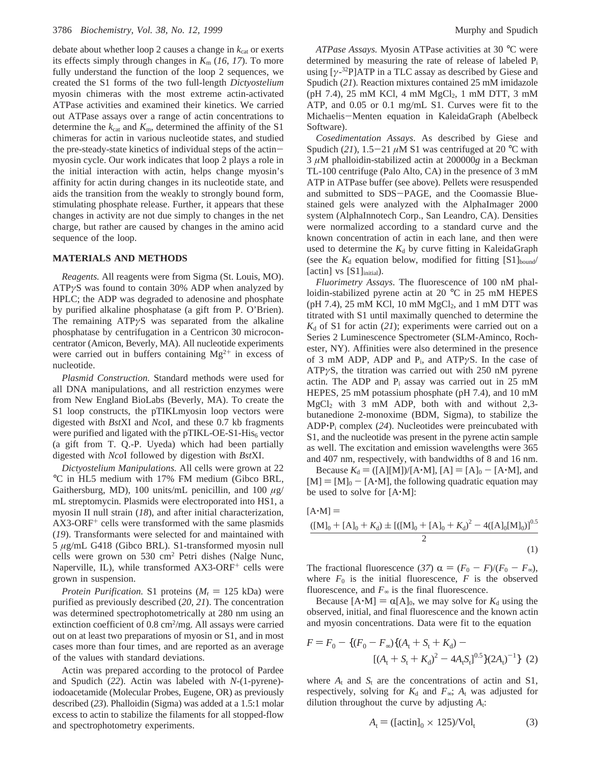debate about whether loop 2 causes a change in  $k_{cat}$  or exerts its effects simply through changes in  $K_m$  (16, 17). To more fully understand the function of the loop 2 sequences, we created the S1 forms of the two full-length *Dictyostelium* myosin chimeras with the most extreme actin-activated ATPase activities and examined their kinetics. We carried out ATPase assays over a range of actin concentrations to determine the  $k_{\text{cat}}$  and  $K_{\text{m}}$ , determined the affinity of the S1 chimeras for actin in various nucleotide states, and studied the pre-steady-state kinetics of individual steps of the actinmyosin cycle. Our work indicates that loop 2 plays a role in the initial interaction with actin, helps change myosin's affinity for actin during changes in its nucleotide state, and aids the transition from the weakly to strongly bound form, stimulating phosphate release. Further, it appears that these changes in activity are not due simply to changes in the net charge, but rather are caused by changes in the amino acid sequence of the loop.

#### **MATERIALS AND METHODS**

*Reagents.* All reagents were from Sigma (St. Louis, MO). ATP*γ*S was found to contain 30% ADP when analyzed by HPLC; the ADP was degraded to adenosine and phosphate by purified alkaline phosphatase (a gift from P. O'Brien). The remaining ATP*γ*S was separated from the alkaline phosphatase by centrifugation in a Centricon 30 microconcentrator (Amicon, Beverly, MA). All nucleotide experiments were carried out in buffers containing  $Mg^{2+}$  in excess of nucleotide.

*Plasmid Construction.* Standard methods were used for all DNA manipulations, and all restriction enzymes were from New England BioLabs (Beverly, MA). To create the S1 loop constructs, the pTIKLmyosin loop vectors were digested with *Bst*XI and *Nco*I, and these 0.7 kb fragments were purified and ligated with the  $pTIKL-OE-S1-His<sub>6</sub> vector$ (a gift from T. Q.-P. Uyeda) which had been partially digested with *Nco*I followed by digestion with *Bst*XI.

*Dictyostelium Manipulations.* All cells were grown at 22 °C in HL5 medium with 17% FM medium (Gibco BRL, Gaithersburg, MD), 100 units/mL penicillin, and 100 *µ*g/ mL streptomycin. Plasmids were electroporated into HS1, a myosin II null strain (*18*), and after initial characterization,  $AX3-ORF<sup>+</sup>$  cells were transformed with the same plasmids (*19*). Transformants were selected for and maintained with 5 *µ*g/mL G418 (Gibco BRL). S1-transformed myosin null cells were grown on 530 cm2 Petri dishes (Nalge Nunc, Naperville, IL), while transformed  $AX3-ORF^+$  cells were grown in suspension.

*Protein Purification.* S1 proteins ( $M_r = 125$  kDa) were purified as previously described (*20*, *21*). The concentration was determined spectrophotometrically at 280 nm using an extinction coefficient of 0.8 cm<sup>2</sup>/mg. All assays were carried out on at least two preparations of myosin or S1, and in most cases more than four times, and are reported as an average of the values with standard deviations.

Actin was prepared according to the protocol of Pardee and Spudich (*22*). Actin was labeled with *N*-(1-pyrene) iodoacetamide (Molecular Probes, Eugene, OR) as previously described (*23*). Phalloidin (Sigma) was added at a 1.5:1 molar excess to actin to stabilize the filaments for all stopped-flow and spectrophotometry experiments.

*ATPase Assays.* Myosin ATPase activities at 30 °C were determined by measuring the rate of release of labeled Pi using  $[\gamma^{-32}P]ATP$  in a TLC assay as described by Giese and Spudich (*21*). Reaction mixtures contained 25 mM imidazole (pH 7.4), 25 mM KCl, 4 mM  $MgCl<sub>2</sub>$ , 1 mM DTT, 3 mM ATP, and 0.05 or 0.1 mg/mL S1. Curves were fit to the Michaelis-Menten equation in KaleidaGraph (Abelbeck Software).

*Cosedimentation Assays*. As described by Giese and Spudich (21),  $1.5-21 \mu M$  S1 was centrifuged at 20 °C with 3 *µ*M phalloidin-stabilized actin at 200000*g* in a Beckman TL-100 centrifuge (Palo Alto, CA) in the presence of 3 mM ATP in ATPase buffer (see above). Pellets were resuspended and submitted to SDS-PAGE, and the Coomassie Bluestained gels were analyzed with the AlphaImager 2000 system (AlphaInnotech Corp., San Leandro, CA). Densities were normalized according to a standard curve and the known concentration of actin in each lane, and then were used to determine the  $K_d$  by curve fitting in KaleidaGraph (see the  $K_d$  equation below, modified for fitting  $[S1]_{bound}$ [actin] vs  $[S1]$ <sub>initial</sub>).

*Fluorimetry Assays*. The fluorescence of 100 nM phalloidin-stabilized pyrene actin at 20 °C in 25 mM HEPES (pH 7.4), 25 mM KCl, 10 mM  $MgCl<sub>2</sub>$ , and 1 mM DTT was titrated with S1 until maximally quenched to determine the  $K_d$  of S1 for actin (21); experiments were carried out on a Series 2 Luminescence Spectrometer (SLM-Aminco, Rochester, NY). Affinities were also determined in the presence of 3 mM ADP, ADP and Pi, and ATP*γ*S. In the case of ATP*γ*S, the titration was carried out with 250 nM pyrene actin. The ADP and  $P_i$  assay was carried out in 25 mM HEPES, 25 mM potassium phosphate (pH 7.4), and 10 mM  $MgCl<sub>2</sub>$  with 3 mM ADP, both with and without 2,3butanedione 2-monoxime (BDM, Sigma), to stabilize the ADP'Pi complex (*24*). Nucleotides were preincubated with S1, and the nucleotide was present in the pyrene actin sample as well. The excitation and emission wavelengths were 365 and 407 nm, respectively, with bandwidths of 8 and 16 nm.

Because  $K_d = ([A][M])/[A \cdot M]$ ,  $[A] = [A]_0 - [A \cdot M]$ , and  $[M] = [M]_0 - [A \cdot M]$ , the following quadratic equation may be used to solve for [A'M]:

$$
[\mathbf{A} \cdot \mathbf{M}] =
$$
  
\n
$$
\frac{([\mathbf{M}]_0 + [\mathbf{A}]_0 + K_d) \pm [([\mathbf{M}]_0 + [\mathbf{A}]_0 + K_d)^2 - 4([\mathbf{A}]_0 [\mathbf{M}]_0)]^{0.5}}{2}
$$
\n(1)

The fractional fluorescence (37)  $\alpha = (F_0 - F)/(F_0 - F_{\infty})$ , where  $F_0$  is the initial fluorescence,  $F$  is the observed fluorescence, and  $F<sub>∞</sub>$  is the final fluorescence.

Because  $[A \cdot M] = \alpha[A]_0$ , we may solve for  $K_d$  using the observed, initial, and final fluorescence and the known actin and myosin concentrations. Data were fit to the equation

$$
F = F_0 - \{(F_0 - F_{\infty})\{(A_t + S_t + K_d) - [(A_t + S_t + K_d)^2 - 4A_tS_t]^{0.5}\}(2A_t)^{-1}\}
$$
 (2)

where  $A_t$  and  $S_t$  are the concentrations of actin and S1, respectively, solving for  $K_d$  and  $F_{\infty}$ ;  $A_t$  was adjusted for dilution throughout the curve by adjusting *A*t:

$$
A_t = \left( \left[ \text{actin} \right]_0 \times 125 \right) / \text{Vol}_t \tag{3}
$$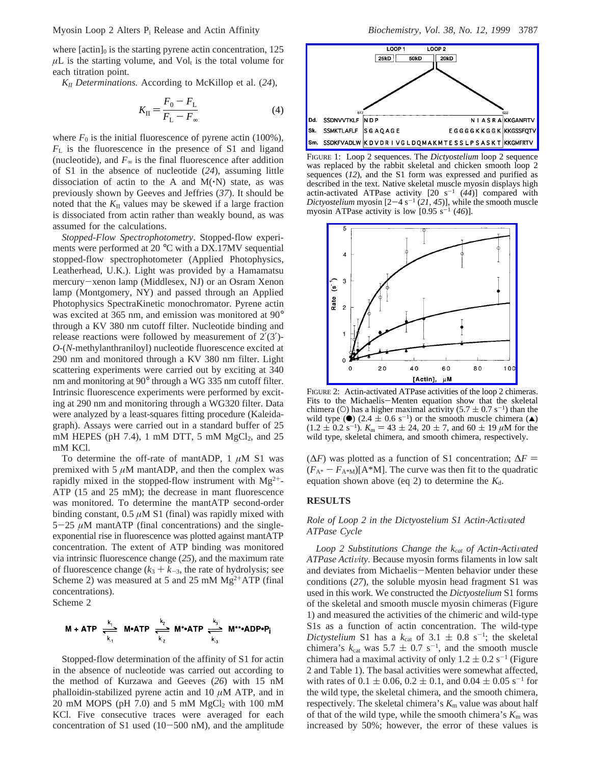where  $[actin]_0$  is the starting pyrene actin concentration, 125  $\mu$ L is the starting volume, and Vol<sub>t</sub> is the total volume for each titration point.

*KII Determinations.* According to McKillop et al. (*24*),

$$
K_{\rm II} = \frac{F_0 - F_{\rm L}}{F_{\rm L} - F_{\infty}}
$$
 (4)

where  $F_0$  is the initial fluorescence of pyrene actin (100%), *F*<sup>L</sup> is the fluorescence in the presence of S1 and ligand (nucleotide), and  $F<sub>∞</sub>$  is the final fluorescence after addition of S1 in the absence of nucleotide (*24*), assuming little dissociation of actin to the A and  $M(\cdot N)$  state, as was previously shown by Geeves and Jeffries (*37*). It should be noted that the  $K_{II}$  values may be skewed if a large fraction is dissociated from actin rather than weakly bound, as was assumed for the calculations.

*Stopped-Flow Spectrophotometry*. Stopped-flow experiments were performed at 20 °C with a DX.17MV sequential stopped-flow spectrophotometer (Applied Photophysics, Leatherhead, U.K.). Light was provided by a Hamamatsu mercury-xenon lamp (Middlesex, NJ) or an Osram Xenon lamp (Montgomery, NY) and passed through an Applied Photophysics SpectraKinetic monochromator. Pyrene actin was excited at 365 nm, and emission was monitored at 90° through a KV 380 nm cutoff filter. Nucleotide binding and release reactions were followed by measurement of  $2'(3')$ -*O*-(*N*-methylanthraniloyl) nucleotide fluorescence excited at 290 nm and monitored through a KV 380 nm filter. Light scattering experiments were carried out by exciting at 340 nm and monitoring at 90° through a WG 335 nm cutoff filter. Intrinsic fluorescence experiments were performed by exciting at 290 nm and monitoring through a WG320 filter. Data were analyzed by a least-squares fitting procedure (Kaleidagraph). Assays were carried out in a standard buffer of 25 mM HEPES (pH 7.4), 1 mM DTT, 5 mM  $MgCl<sub>2</sub>$ , and 25 mM KCl.

To determine the off-rate of mantADP, 1 *µ*M S1 was premixed with 5  $\mu$ M mantADP, and then the complex was rapidly mixed in the stopped-flow instrument with  $Mg^{2+}$ -ATP (15 and 25 mM); the decrease in mant fluorescence was monitored. To determine the mantATP second-order binding constant,  $0.5 \mu M S1$  (final) was rapidly mixed with  $5-25 \mu M$  mantATP (final concentrations) and the singleexponential rise in fluorescence was plotted against mantATP concentration. The extent of ATP binding was monitored via intrinsic fluorescence change (*25*), and the maximum rate of fluorescence change  $(k_3 + k_{-3})$ , the rate of hydrolysis; see Scheme 2) was measured at 5 and 25 mM  $Mg^{2+}ATP$  (final concentrations). Scheme 2

 $M + ATP \xleftarrow[k_1]{k_1} M \cdot ATP \xleftarrow[k_2]{k_2} M^* \cdot ATP \xleftarrow[k_3]{k_3} M^{**} \cdot ADP \cdot P_i$ 

Stopped-flow determination of the affinity of S1 for actin in the absence of nucleotide was carried out according to the method of Kurzawa and Geeves (*26*) with 15 nM phalloidin-stabilized pyrene actin and 10 *µ*M ATP, and in 20 mM MOPS (pH 7.0) and 5 mM  $MgCl<sub>2</sub>$  with 100 mM KCl. Five consecutive traces were averaged for each concentration of S1 used  $(10-500)$  nM), and the amplitude



FIGURE 1: Loop 2 sequences. The *Dictyostelium* loop 2 sequence was replaced by the rabbit skeletal and chicken smooth loop 2 sequences (*12*), and the S1 form was expressed and purified as described in the text. Native skeletal muscle myosin displays high actin-activated ATPase activity  $[20 \text{ s}^{-1} (44)]$  compared with *Dictyostelium* myosin  $[2-4 \text{ s}^{-1} (21, 45)]$ , while the smooth muscle myosin ATPase activity is low  $[0.95 \text{ s}^{-1} (46)]$ .



FIGURE 2: Actin-activated ATPase activities of the loop 2 chimeras. Fits to the Michaelis-Menten equation show that the skeletal chimera (O) has a higher maximal activity  $(5.7 \pm 0.7 \text{ s}^{-1})$  than the wild type ( $\bullet$ ) (2.4  $\pm$  0.6 s<sup>-1</sup>) or the smooth muscle chimera ( $\blacktriangle$ )  $(1.2 \pm 0.2 \text{ s}^{-1})$ .  $K_m = 43 \pm 24$ ,  $20 \pm 7$ , and  $60 \pm 19 \mu$ M for the wild type, skeletal chimera, and smooth chimera, respectively.

 $(\Delta F)$  was plotted as a function of S1 concentration;  $\Delta F =$  $(F_{A^*} - F_{A^*M})$ [A<sup>\*</sup>M]. The curve was then fit to the quadratic equation shown above (eq 2) to determine the  $K_d$ .

#### **RESULTS**

# *Role of Loop 2 in the Dictyostelium S1 Actin-Activated ATPase Cycle*

*Loop* 2 Substitutions Change the  $k_{cat}$  of Actin-Activated *ATPase Activity*. Because myosin forms filaments in low salt and deviates from Michaelis-Menten behavior under these conditions (*27*), the soluble myosin head fragment S1 was used in this work. We constructed the *Dictyostelium* S1 forms of the skeletal and smooth muscle myosin chimeras (Figure 1) and measured the activities of the chimeric and wild-type S1s as a function of actin concentration. The wild-type *Dictystelium* S1 has a  $k_{\text{cat}}$  of 3.1  $\pm$  0.8 s<sup>-1</sup>; the skeletal chimera's  $k_{\text{cat}}$  was 5.7 + 0.7 s<sup>-1</sup> and the smooth muscle chimera's  $k_{\text{cat}}$  was  $5.7 \pm 0.7 \text{ s}^{-1}$ , and the smooth muscle<br>chimera had a maximal activity of only  $1.2 \pm 0.2 \text{ s}^{-1}$  (Figure chimera had a maximal activity of only  $1.2 \pm 0.2$  s<sup>-1</sup> (Figure 2 and Table 1). The basal activities were somewhat affected, with rates of  $0.1 \pm 0.06$ ,  $0.2 \pm 0.1$ , and  $0.04 \pm 0.05$  s<sup>-1</sup> for the wild type, the skeletal chimera, and the smooth chimera, respectively. The skeletal chimera's  $K<sub>m</sub>$  value was about half of that of the wild type, while the smooth chimera's  $K<sub>m</sub>$  was increased by 50%; however, the error of these values is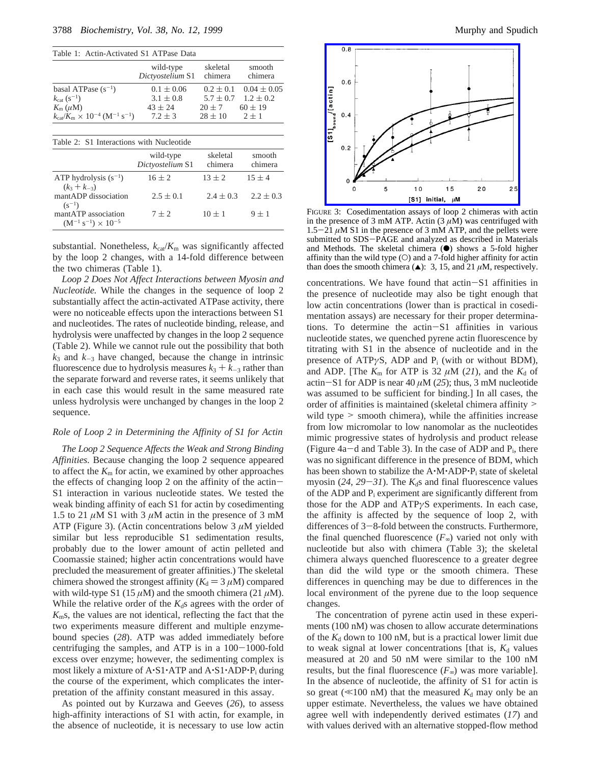| Table 1: Actin-Activated S1 ATPase Data                                          |                               |                     |                   |  |  |  |
|----------------------------------------------------------------------------------|-------------------------------|---------------------|-------------------|--|--|--|
|                                                                                  | wild-type<br>Dictyostelium S1 | skeletal<br>chimera | smooth<br>chimera |  |  |  |
| basal ATPase $(s^{-1})$                                                          | $0.1 \pm 0.06$                | $0.2 \pm 0.1$       | $0.04 \pm 0.05$   |  |  |  |
| $k_{\text{cat}} (s^{-1})$                                                        | $3.1 \pm 0.8$                 | $5.7 \pm 0.7$       | $1.2 \pm 0.2$     |  |  |  |
| $K_{\rm m}(\mu{\rm M})$                                                          | $43 \pm 24$                   | $20 \pm 7$          | $60 \pm 19$       |  |  |  |
| $k_{\text{cat}}/K_{\text{m}} \times 10^{-4} \, (\text{M}^{-1} \, \text{s}^{-1})$ | $7.2 \pm 3$                   | $28 \pm 10$         | $2 \pm 1$         |  |  |  |
| Table 2: S1 Interactions with Nucleotide                                         |                               |                     |                   |  |  |  |
|                                                                                  | wild-type<br>Dictyostelium S1 | skeletal<br>chimera | smooth<br>chimera |  |  |  |
| ATP hydrolysis $(s^{-1})$<br>$(k_3 + k_{-3})$                                    | $16 \pm 2$                    | $13 \pm 2$          | $15 \pm 4$        |  |  |  |
| mantADP dissociation<br>$(s^{-1})$                                               | $2.5 \pm 0.1$                 | $2.4 \pm 0.3$       | $2.2 \pm 0.3$     |  |  |  |
| mantATP association<br>$(M^{-1} s^{-1}) \times 10^{-5}$                          | $7 \pm 2$                     | $10 \pm 1$          | $9 \pm 1$         |  |  |  |

substantial. Nonetheless,  $k_{cat}/K_m$  was significantly affected by the loop 2 changes, with a 14-fold difference between the two chimeras (Table 1).

*Loop 2 Does Not Affect Interactions between Myosin and Nucleotide.* While the changes in the sequence of loop 2 substantially affect the actin-activated ATPase activity, there were no noticeable effects upon the interactions between S1 and nucleotides. The rates of nucleotide binding, release, and hydrolysis were unaffected by changes in the loop 2 sequence (Table 2). While we cannot rule out the possibility that both  $k_3$  and  $k_{-3}$  have changed, because the change in intrinsic fluorescence due to hydrolysis measures  $k_3 + k_{-3}$  rather than the separate forward and reverse rates, it seems unlikely that in each case this would result in the same measured rate unless hydrolysis were unchanged by changes in the loop 2 sequence.

#### *Role of Loop 2 in Determining the Affinity of S1 for Actin*

*The Loop 2 Sequence Affects the Weak and Strong Binding Affinities.* Because changing the loop 2 sequence appeared to affect the *K*<sup>m</sup> for actin, we examined by other approaches the effects of changing loop 2 on the affinity of the actin-S1 interaction in various nucleotide states. We tested the weak binding affinity of each S1 for actin by cosedimenting 1.5 to 21  $\mu$ M S1 with 3  $\mu$ M actin in the presence of 3 mM ATP (Figure 3). (Actin concentrations below 3 *µ*M yielded similar but less reproducible S1 sedimentation results, probably due to the lower amount of actin pelleted and Coomassie stained; higher actin concentrations would have precluded the measurement of greater affinities.) The skeletal chimera showed the strongest affinity ( $K_d = 3 \mu M$ ) compared with wild-type S1 (15  $\mu$ M) and the smooth chimera (21  $\mu$ M). While the relative order of the  $K_d$ s agrees with the order of *K*ms, the values are not identical, reflecting the fact that the two experiments measure different and multiple enzymebound species (*28*). ATP was added immediately before centrifuging the samples, and ATP is in a  $100-1000$ -fold excess over enzyme; however, the sedimenting complex is most likely a mixture of A·S1·ATP and A·S1·ADP·P<sub>i</sub> during the course of the experiment, which complicates the interpretation of the affinity constant measured in this assay.

As pointed out by Kurzawa and Geeves (*26*), to assess high-affinity interactions of S1 with actin, for example, in the absence of nucleotide, it is necessary to use low actin



FIGURE 3: Cosedimentation assays of loop 2 chimeras with actin in the presence of 3 mM ATP. Actin  $(3 \mu M)$  was centrifuged with  $1.5-21 \mu M$  S1 in the presence of 3 mM ATP, and the pellets were submitted to SDS-PAGE and analyzed as described in Materials and Methods. The skeletal chimera  $(\bullet)$  shows a 5-fold higher affinity than the wild type (O) and a 7-fold higher affinity for actin than does the smooth chimera  $(\triangle)$ : 3, 15, and 21  $\mu$ M, respectively.

concentrations. We have found that actin-S1 affinities in the presence of nucleotide may also be tight enough that low actin concentrations (lower than is practical in cosedimentation assays) are necessary for their proper determinations. To determine the actin-S1 affinities in various nucleotide states, we quenched pyrene actin fluorescence by titrating with S1 in the absence of nucleotide and in the presence of ATP*γ*S, ADP and Pi (with or without BDM), and ADP. [The  $K_m$  for ATP is 32  $\mu$ M (21), and the  $K_d$  of actin-S1 for ADP is near 40  $\mu$ M (25); thus, 3 mM nucleotide was assumed to be sufficient for binding.] In all cases, the order of affinities is maintained (skeletal chimera affinity > wild type  $>$  smooth chimera), while the affinities increase from low micromolar to low nanomolar as the nucleotides mimic progressive states of hydrolysis and product release (Figure  $4a-d$  and Table 3). In the case of ADP and  $P_i$ , there was no significant difference in the presence of BDM, which has been shown to stabilize the A·M·ADP·P<sub>i</sub> state of skeletal myosin  $(24, 29-31)$ . The  $K_d$ s and final fluorescence values of the ADP and Pi experiment are significantly different from those for the ADP and ATP*γ*S experiments. In each case, the affinity is affected by the sequence of loop 2, with differences of  $3-8$ -fold between the constructs. Furthermore, the final quenched fluorescence  $(F_{\infty})$  varied not only with nucleotide but also with chimera (Table 3); the skeletal chimera always quenched fluorescence to a greater degree than did the wild type or the smooth chimera. These differences in quenching may be due to differences in the local environment of the pyrene due to the loop sequence changes.

The concentration of pyrene actin used in these experiments (100 nM) was chosen to allow accurate determinations of the  $K_d$  down to 100 nM, but is a practical lower limit due to weak signal at lower concentrations [that is,  $K_d$  values measured at 20 and 50 nM were similar to the 100 nM results, but the final fluorescence  $(F_{\infty})$  was more variable]. In the absence of nucleotide, the affinity of S1 for actin is so great ( $\ll$ 100 nM) that the measured  $K_d$  may only be an upper estimate. Nevertheless, the values we have obtained agree well with independently derived estimates (*17*) and with values derived with an alternative stopped-flow method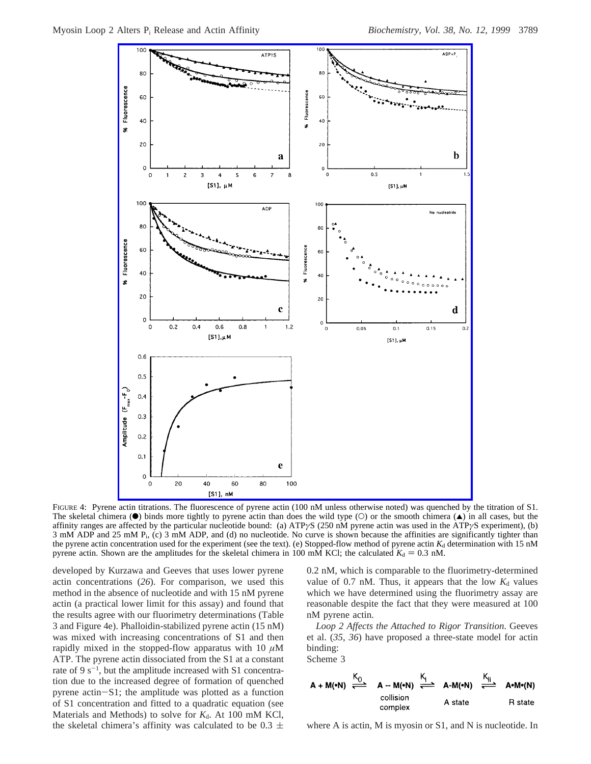

FIGURE 4: Pyrene actin titrations. The fluorescence of pyrene actin (100 nM unless otherwise noted) was quenched by the titration of S1. The skeletal chimera ( $\bullet$ ) binds more tightly to pyrene actin than does the wild type (O) or the smooth chimera ( $\bullet$ ) in all cases, but the affinity ranges are affected by the particular nucleotide bound: (a) ATP*γ*S (250 nM pyrene actin was used in the ATP*γ*S experiment), (b) 3 mM ADP and 25 mM Pi, (c) 3 mM ADP, and (d) no nucleotide. No curve is shown because the affinities are significantly tighter than the pyrene actin concentration used for the experiment (see the text). (e) Stopped-flow method of pyrene actin  $K_d$  determination with 15 nM pyrene actin. Shown are the amplitudes for the skeletal chimera in 100 mM KCl; the calculated  $K_d = 0.3$  nM.

developed by Kurzawa and Geeves that uses lower pyrene actin concentrations (*26*). For comparison, we used this method in the absence of nucleotide and with 15 nM pyrene actin (a practical lower limit for this assay) and found that the results agree with our fluorimetry determinations (Table 3 and Figure 4e). Phalloidin-stabilized pyrene actin (15 nM) was mixed with increasing concentrations of S1 and then rapidly mixed in the stopped-flow apparatus with 10  $\mu$ M ATP. The pyrene actin dissociated from the S1 at a constant rate of  $9 \text{ s}^{-1}$ , but the amplitude increased with S1 concentration due to the increased degree of formation of quenched pyrene actin-S1; the amplitude was plotted as a function of S1 concentration and fitted to a quadratic equation (see Materials and Methods) to solve for  $K_d$ . At 100 mM KCl, the skeletal chimera's affinity was calculated to be  $0.3 \pm$  0.2 nM, which is comparable to the fluorimetry-determined value of 0.7 nM. Thus, it appears that the low  $K_d$  values which we have determined using the fluorimetry assay are reasonable despite the fact that they were measured at 100 nM pyrene actin.

*Loop 2 Affects the Attached to Rigor Transition*. Geeves et al. (*35*, *36*) have proposed a three-state model for actin binding:

Scheme 3



where A is actin, M is myosin or S1, and N is nucleotide. In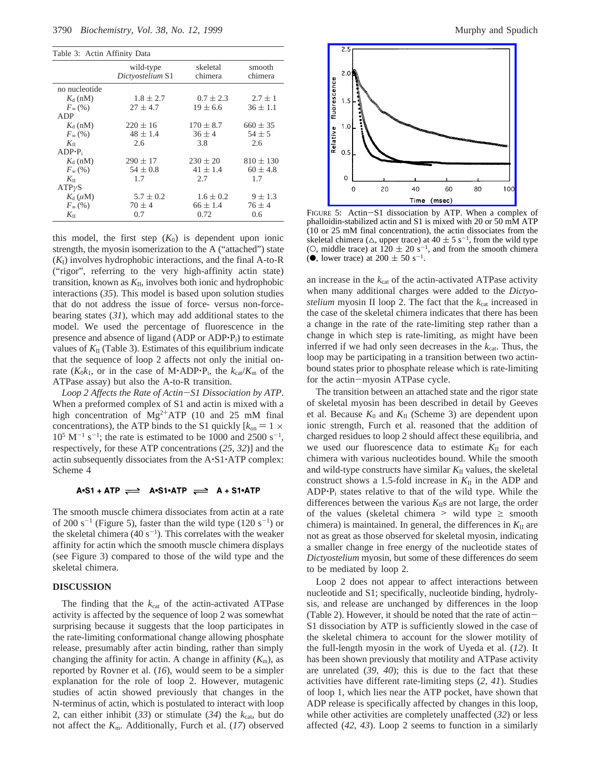|  |  |  | Table 3: Actin Affinity Data |  |
|--|--|--|------------------------------|--|
|--|--|--|------------------------------|--|

|                  | wild-type<br>Dictyostelium S1 | skeletal<br>chimera | smooth<br>chimera |
|------------------|-------------------------------|---------------------|-------------------|
| no nucleotide    |                               |                     |                   |
| $K_d$ (nM)       | $1.8 \pm 2.7$                 | $0.7 \pm 2.3$       | $2.7 \pm 1$       |
| $F_{\infty}(96)$ | $27 \pm 4.7$                  | $19 \pm 6.6$        | $36 \pm 1.1$      |
| ADP              |                               |                     |                   |
| $K_{d}$ (nM)     | $220 \pm 16$                  | $170 \pm 8.7$       | $660 \pm 35$      |
| $F_{\infty}(96)$ | $48 \pm 1.4$                  | $36 \pm 4$          | $54 \pm 5$        |
| $K_{\rm II}$     | 2.6                           | 3.8                 | 2.6               |
| $ADP\cdot P_i$   |                               |                     |                   |
| $K_{d}$ (nM)     | $290 \pm 17$                  | $230 \pm 20$        | $810 \pm 130$     |
| $F_{\infty}(96)$ | $54 \pm 0.8$                  | $41 \pm 1.4$        | $60 \pm 4.8$      |
| $K_{\rm II}$     | 1.7                           | 2.7                 | 1.7               |
| $ATP\gamma S$    |                               |                     |                   |
| $K_{d}(\mu M)$   | $5.7 \pm 0.2$                 | $1.6 \pm 0.2$       | $9 \pm 1.3$       |
| $F_{\infty}(%$   | $70 \pm 4$                    | $66 \pm 1.4$        | $76 \pm 4$        |
| $K_{\rm II}$     | 0.7                           | 0.72                | 0.6               |

this model, the first step  $(K_0)$  is dependent upon ionic strength, the myosin isomerization to the A ("attached") state (*K*I) involves hydrophobic interactions, and the final A-to-R ("rigor", referring to the very high-affinity actin state) transition, known as  $K_{II}$ , involves both ionic and hydrophobic interactions (*35*). This model is based upon solution studies that do not address the issue of force- versus non-forcebearing states (*31*), which may add additional states to the model. We used the percentage of fluorescence in the presence and absence of ligand (ADP or ADP $\cdot$ P<sub>i</sub>) to estimate values of  $K<sub>II</sub>$  (Table 3). Estimates of this equilibrium indicate that the sequence of loop 2 affects not only the initial onrate  $(K_0k_1$ , or in the case of M·ADP·P<sub>i</sub>, the  $k_{cat}/K_m$  of the ATPase assay) but also the A-to-R transition.

*Loop 2 Affects the Rate of Actin*-*S1 Dissociation by ATP*. When a preformed complex of S1 and actin is mixed with a high concentration of  $Mg^{2+}ATP$  (10 and 25 mM final concentrations), the ATP binds to the S1 quickly  $[k_{on} = 1 \times$  $10^5$  M<sup>-1</sup> s<sup>-1</sup>; the rate is estimated to be 1000 and 2500 s<sup>-1</sup>, respectively, for these ATP concentrations (*25*, *32*)] and the actin subsequently dissociates from the A'S1'ATP complex: Scheme 4

### $A \cdot S1 + A \cdot TP \implies A \cdot S1 \cdot A \cdot TP \implies A + S1 \cdot A \cdot TP$

The smooth muscle chimera dissociates from actin at a rate of 200 s<sup>-1</sup> (Figure 5), faster than the wild type  $(120 s<sup>-1</sup>)$  or the skeletal chimera  $(40 s<sup>-1</sup>)$ . This correlates with the weaker affinity for actin which the smooth muscle chimera displays (see Figure 3) compared to those of the wild type and the skeletal chimera.

#### **DISCUSSION**

The finding that the  $k_{cat}$  of the actin-activated ATPase activity is affected by the sequence of loop 2 was somewhat surprising because it suggests that the loop participates in the rate-limiting conformational change allowing phosphate release, presumably after actin binding, rather than simply changing the affinity for actin. A change in affinity  $(K<sub>m</sub>)$ , as reported by Rovner et al. (*16*), would seem to be a simpler explanation for the role of loop 2. However, mutagenic studies of actin showed previously that changes in the N-terminus of actin, which is postulated to interact with loop 2, can either inhibit  $(33)$  or stimulate  $(34)$  the  $k_{cat}$ , but do not affect the *K*m. Additionally, Furch et al. (*17*) observed



FIGURE 5: Actin-S1 dissociation by ATP. When a complex of phalloidin-stabilized actin and S1 is mixed with 20 or 50 mM ATP (10 or 25 mM final concentration), the actin dissociates from the skeletal chimera ( $\triangle$ , upper trace) at 40  $\pm$  5 s<sup>-1</sup>, from the wild type (O, middle trace) at  $120 \pm 20$  s<sup>-1</sup>, and from the smooth chimera ( $\bullet$ , lower trace) at 200  $\pm$  50 s<sup>-1</sup>.

an increase in the  $k_{\text{cat}}$  of the actin-activated ATPase activity when many additional charges were added to the *Dictyostelium* myosin II loop 2. The fact that the  $k_{cat}$  increased in the case of the skeletal chimera indicates that there has been a change in the rate of the rate-limiting step rather than a change in which step is rate-limiting, as might have been inferred if we had only seen decreases in the  $k_{cat}$ . Thus, the loop may be participating in a transition between two actinbound states prior to phosphate release which is rate-limiting for the actin-myosin ATPase cycle.

The transition between an attached state and the rigor state of skeletal myosin has been described in detail by Geeves et al. Because  $K_0$  and  $K_{II}$  (Scheme 3) are dependent upon ionic strength, Furch et al. reasoned that the addition of charged residues to loop 2 should affect these equilibria, and we used our fluorescence data to estimate  $K_{\text{II}}$  for each chimera with various nucleotides bound. While the smooth and wild-type constructs have similar  $K_{II}$  values, the skeletal construct shows a 1.5-fold increase in  $K_{II}$  in the ADP and ADP'Pi states relative to that of the wild type. While the differences between the various  $K_{\text{II}}$ s are not large, the order of the values (skeletal chimera  $>$  wild type  $\ge$  smooth chimera) is maintained. In general, the differences in  $K_{II}$  are not as great as those observed for skeletal myosin, indicating a smaller change in free energy of the nucleotide states of *Dictyostelium* myosin, but some of these differences do seem to be mediated by loop 2.

Loop 2 does not appear to affect interactions between nucleotide and S1; specifically, nucleotide binding, hydrolysis, and release are unchanged by differences in the loop (Table 2). However, it should be noted that the rate of actin-S1 dissociation by ATP is sufficiently slowed in the case of the skeletal chimera to account for the slower motility of the full-length myosin in the work of Uyeda et al. (*12*). It has been shown previously that motility and ATPase activity are unrelated (*39*, *40*); this is due to the fact that these activities have different rate-limiting steps (*2*, *41*). Studies of loop 1, which lies near the ATP pocket, have shown that ADP release is specifically affected by changes in this loop, while other activities are completely unaffected (*32*) or less affected (*42*, *43*). Loop 2 seems to function in a similarly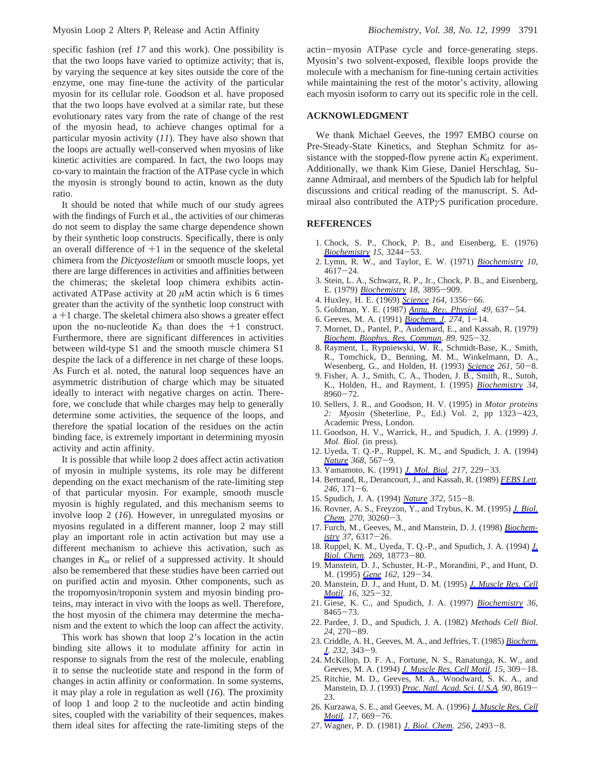specific fashion (ref *17* and this work). One possibility is that the two loops have varied to optimize activity; that is, by varying the sequence at key sites outside the core of the enzyme, one may fine-tune the activity of the particular myosin for its cellular role. Goodson et al. have proposed that the two loops have evolved at a similar rate, but these evolutionary rates vary from the rate of change of the rest of the myosin head, to achieve changes optimal for a particular myosin activity (*11*). They have also shown that the loops are actually well-conserved when myosins of like kinetic activities are compared. In fact, the two loops may co-vary to maintain the fraction of the ATPase cycle in which the myosin is strongly bound to actin, known as the duty ratio.

It should be noted that while much of our study agrees with the findings of Furch et al., the activities of our chimeras do not seem to display the same charge dependence shown by their synthetic loop constructs. Specifically, there is only an overall difference of  $+1$  in the sequence of the skeletal chimera from the *Dictyostelium* or smooth muscle loops, yet there are large differences in activities and affinities between the chimeras; the skeletal loop chimera exhibits actinactivated ATPase activity at 20  $\mu$ M actin which is 6 times greater than the activity of the synthetic loop construct with <sup>a</sup> +1 charge. The skeletal chimera also shows a greater effect upon the no-nucleotide  $K_d$  than does the  $+1$  construct. Furthermore, there are significant differences in activities between wild-type S1 and the smooth muscle chimera S1 despite the lack of a difference in net charge of these loops. As Furch et al. noted, the natural loop sequences have an asymmetric distribution of charge which may be situated ideally to interact with negative charges on actin. Therefore, we conclude that while charges may help to generally determine some activities, the sequence of the loops, and therefore the spatial location of the residues on the actin binding face, is extremely important in determining myosin activity and actin affinity.

It is possible that while loop 2 does affect actin activation of myosin in multiple systems, its role may be different depending on the exact mechanism of the rate-limiting step of that particular myosin. For example, smooth muscle myosin is highly regulated, and this mechanism seems to involve loop 2 (*16*). However, in unregulated myosins or myosins regulated in a different manner, loop 2 may still play an important role in actin activation but may use a different mechanism to achieve this activation, such as changes in  $K<sub>m</sub>$  or relief of a suppressed activity. It should also be remembered that these studies have been carried out on purified actin and myosin. Other components, such as the tropomyosin/troponin system and myosin binding proteins, may interact in vivo with the loops as well. Therefore, the host myosin of the chimera may determine the mechanism and the extent to which the loop can affect the activity.

This work has shown that loop 2's location in the actin binding site allows it to modulate affinity for actin in response to signals from the rest of the molecule, enabling it to sense the nucleotide state and respond in the form of changes in actin affinity or conformation. In some systems, it may play a role in regulation as well (*16*). The proximity of loop 1 and loop 2 to the nucleotide and actin binding sites, coupled with the variability of their sequences, makes them ideal sites for affecting the rate-limiting steps of the actin-myosin ATPase cycle and force-generating steps. Myosin's two solvent-exposed, flexible loops provide the molecule with a mechanism for fine-tuning certain activities while maintaining the rest of the motor's activity, allowing each myosin isoform to carry out its specific role in the cell.

## **ACKNOWLEDGMENT**

We thank Michael Geeves, the 1997 EMBO course on Pre-Steady-State Kinetics, and Stephan Schmitz for assistance with the stopped-flow pyrene actin  $K_d$  experiment. Additionally, we thank Kim Giese, Daniel Herschlag, Suzanne Admiraal, and members of the Spudich lab for helpful discussions and critical reading of the manuscript. S. Admiraal also contributed the ATP*γ*S purification procedure.

## **REFERENCES**

- 1. Chock, S. P., Chock, P. B., and Eisenberg, E. (1976) *[Biochemistry](http://pubsdc3.acs.org/action/showLinks?system=10.1021%2Fbi00660a013&pmid=133714&coi=1%3ACAS%3A528%3ADyaE28XltFyksrs%253D) 15*, 3244-53.
- 2. Lymn, R. W., and Taylor, E. W. (1971) *[Biochemistry](http://pubsdc3.acs.org/action/showLinks?system=10.1021%2Fbi00801a004&pmid=4258719&coi=1%3ACAS%3A528%3ADyaE38XjtFyisQ%253D%253D) 10*,  $4617 - 24$ .
- 3. Stein, L. A., Schwarz, R. P., Jr., Chock, P. B., and Eisenberg, E. (1979) *[Biochemistry](http://pubsdc3.acs.org/action/showLinks?system=10.1021%2Fbi00585a009&pmid=158378&coi=1%3ACAS%3A528%3ADyaE1MXltF2nsbo%253D) 18*, 3895-909.
- 4. Huxley, H. E. (1969) *[Science](http://pubsdc3.acs.org/action/showLinks?pmid=4181952&crossref=10.1126%2Fscience.164.3886.1356&coi=1%3ACAS%3A528%3ADyaF1MXksFKmtbo%253D) 164*, 1356-66.
- 5. Goldman, Y. E. (1987) *[Annu. Re](http://pubsdc3.acs.org/action/showLinks?pmid=2952053&crossref=10.1146%2Fannurev.ph.49.030187.003225&coi=1%3ACAS%3A528%3ADyaL2sXksleisr8%253D)*V*. Physiol. 49*, 637-54.
- 6. Geeves, M. A. (1991) *[Biochem. J](http://pubsdc3.acs.org/action/showLinks?pmid=1825780&crossref=10.1042%2Fbj2740001&coi=1%3ACAS%3A528%3ADyaK3MXhtFyqtb8%253D). 274*, 1-14.
- 7. Mornet, D., Pantel, P., Audemard, E., and Kassab, R. (1979) *[Biochem. Biophys. Res. Commun](http://pubsdc3.acs.org/action/showLinks?pmid=158360&crossref=10.1016%2F0006-291X%2879%2991867-9&coi=1%3ACAS%3A528%3ADyaE1MXltlGrtrk%253D). 89*, 925-32.
- 8. Rayment, I., Rypniewski, W. R., Schmidt-Base, K., Smith, R., Tomchick, D., Benning, M. M., Winkelmann, D. A., Wesenberg, G., and Holden, H. (1993) *[Science](http://pubsdc3.acs.org/action/showLinks?pmid=8316857&crossref=10.1126%2Fscience.8316857&coi=1%3ACAS%3A528%3ADyaK3sXltFWltrY%253D) 261*, 50-8.
- 9. Fisher, A. J., Smith, C. A., Thoden, J. B., Smith, R., Sutoh, K., Holden, H., and Rayment, I. (1995) *[Biochemistry](http://pubsdc3.acs.org/action/showLinks?system=10.1021%2Fbi00028a004&pmid=7619795&coi=1%3ACAS%3A528%3ADyaK2MXmsFejtbY%253D) 34*,  $8960 - 72$ .
- 10. Sellers, J. R., and Goodson, H. V. (1995) in *Motor proteins 2: Myosin* (Sheterline, P., Ed.) Vol. 2, pp 1323-423, Academic Press, London.
- 11. Goodson, H. V., Warrick, H., and Spudich, J. A. (1999) *J. Mol. Biol.* (in press).
- 12. Uyeda, T. Q.-P., Ruppel, K. M., and Spudich, J. A. (1994) *[Nature](http://pubsdc3.acs.org/action/showLinks?pmid=8139694&crossref=10.1038%2F368567a0&coi=1%3ACAS%3A528%3ADyaK2cXkslOju7g%253D) 368*, 567-9.
- 13. Yamamoto, K. (1991) *[J. Mol. Biol.](http://pubsdc3.acs.org/action/showLinks?pmid=1825118&crossref=10.1016%2F0022-2836%2891%2990535-E&coi=1%3ACAS%3A528%3ADyaK3MXhsF2kurc%253D) 217*, 229-33.
- 14. Bertrand, R., Derancourt, J., and Kassab, R. (1989) *[FEBS Lett.](http://pubsdc3.acs.org/action/showLinks?pmid=2523317&crossref=10.1016%2F0014-5793%2889%2980277-7&coi=1%3ACAS%3A528%3ADyaL1MXhvVygtbg%253D) <sup>246</sup>*, 171-6.
- 15. Spudich, J. A. (1994) *[Nature](http://pubsdc3.acs.org/action/showLinks?pmid=7990922&crossref=10.1038%2F372515a0&coi=1%3ACAS%3A528%3ADyaK2MXisFKkt7s%253D) 372*, 515-8.
- 16. Rovner, A. S., Freyzon, Y., and Trybus, K. M. (1995) *[J. Biol.](http://pubsdc3.acs.org/action/showLinks?pmid=8530442&crossref=10.1074%2Fjbc.270.51.30260&coi=1%3ACAS%3A528%3ADyaK28XhtFKjtg%253D%253D) [Chem.](http://pubsdc3.acs.org/action/showLinks?pmid=8530442&crossref=10.1074%2Fjbc.270.51.30260&coi=1%3ACAS%3A528%3ADyaK28XhtFKjtg%253D%253D) 270*, 30260-3.
- 17. Furch, M., Geeves, M., and Manstein, D. J. (1998) *[Biochem](http://pubsdc3.acs.org/action/showLinks?system=10.1021%2Fbi972851y&pmid=9572846&coi=1%3ACAS%3A528%3ADyaK1cXis12hsbs%253D)[istry](http://pubsdc3.acs.org/action/showLinks?system=10.1021%2Fbi972851y&pmid=9572846&coi=1%3ACAS%3A528%3ADyaK1cXis12hsbs%253D) 37*, 6317-26.
- 18. Ruppel, K. M., Uyeda, T. Q.-P., and Spudich, J. A. (1994) *[J.](http://pubsdc3.acs.org/action/showLinks?pmid=8034630&coi=1%3ACAS%3A528%3ADyaK2cXltVansb8%253D) [Biol. Chem](http://pubsdc3.acs.org/action/showLinks?pmid=8034630&coi=1%3ACAS%3A528%3ADyaK2cXltVansb8%253D). 269*, 18773-80.
- 19. Manstein, D. J., Schuster, H.-P., Morandini, P., and Hunt, D. M. (1995) *[Gene](http://pubsdc3.acs.org/action/showLinks?pmid=7557400&crossref=10.1016%2F0378-1119%2895%2900351-6&coi=1%3ACAS%3A528%3ADyaK2MXotFClu7Y%253D) 162*, 129-34.
- 20. Manstein, D. J., and Hunt, D. M. (1995) *[J. Muscle Res. Cell](http://pubsdc3.acs.org/action/showLinks?pmid=7560005&crossref=10.1007%2FBF00121141&coi=1%3ACAS%3A528%3ADyaK2MXnsVehsb8%253D) [Motil](http://pubsdc3.acs.org/action/showLinks?pmid=7560005&crossref=10.1007%2FBF00121141&coi=1%3ACAS%3A528%3ADyaK2MXnsVehsb8%253D). 16*, 325-32.
- 21. Giese, K. C., and Spudich, J. A. (1997) *[Biochemistry](http://pubsdc3.acs.org/action/showLinks?system=10.1021%2Fbi963141f&pmid=9214290&coi=1%3ACAS%3A528%3ADyaK2sXjvFOhtLw%253D) 36*, <sup>8465</sup>-73. 22. Pardee, J. D., and Spudich, J. A. (1982) *Methods Cell Biol.*
- *<sup>24</sup>*, 270-89.
- 23. Criddle, A. H., Geeves, M. A., and Jeffries, T. (1985) *[Biochem.](http://pubsdc3.acs.org/action/showLinks?pmid=3911945&crossref=10.1042%2Fbj2320343&coi=1%3ACAS%3A528%3ADyaL2MXlvFWktLc%253D) [J.](http://pubsdc3.acs.org/action/showLinks?pmid=3911945&crossref=10.1042%2Fbj2320343&coi=1%3ACAS%3A528%3ADyaL2MXlvFWktLc%253D) 232*, 343-9.
- 24. McKillop, D. F. A., Fortune, N. S., Ranatunga, K. W., and Geeves, M. A. (1994) *[J. Muscle Res. Cell Motil.](http://pubsdc3.acs.org/action/showLinks?pmid=7929796&crossref=10.1007%2FBF00123483&coi=1%3ACAS%3A528%3ADyaK2cXlvFGks7o%253D) 15*, 309-18.
- 25. Ritchie, M. D., Geeves, M. A., Woodward, S. K. A., and Manstein, D. J. (1993) *[Proc. Natl. Acad. Sci. U.S.A.](http://pubsdc3.acs.org/action/showLinks?pmid=8378339&crossref=10.1073%2Fpnas.90.18.8619&coi=1%3ACAS%3A528%3ADyaK2cXksVeg) 90*, 8619- 23.
- 26. Kurzawa, S. E., and Geeves, M. A. (1996) *[J. Muscle Res. Cell](http://pubsdc3.acs.org/action/showLinks?pmid=8994086&crossref=10.1007%2FBF00154061&coi=1%3ACAS%3A528%3ADyaK2sXnsVentA%253D%253D) [Motil](http://pubsdc3.acs.org/action/showLinks?pmid=8994086&crossref=10.1007%2FBF00154061&coi=1%3ACAS%3A528%3ADyaK2sXnsVentA%253D%253D). 17*, 669-76.
- 27. Wagner, P. D. (1981) *[J. Biol. Chem.](http://pubsdc3.acs.org/action/showLinks?pmid=6450767&coi=1%3ACAS%3A528%3ADyaL3MXhtFKgt7Y%253D) 256*, 2493-8.